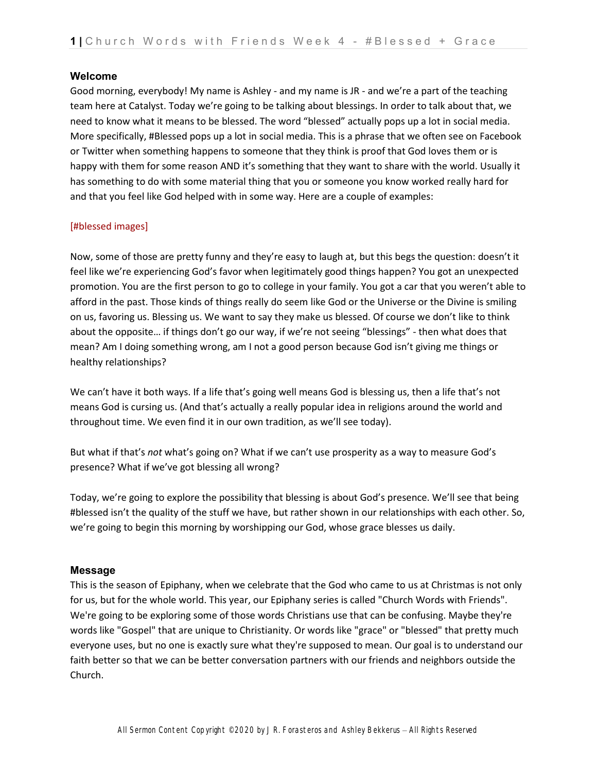#### **Welcome**

Good morning, everybody! My name is Ashley - and my name is JR - and we're a part of the teaching team here at Catalyst. Today we're going to be talking about blessings. In order to talk about that, we need to know what it means to be blessed. The word "blessed" actually pops up a lot in social media. More specifically, #Blessed pops up a lot in social media. This is a phrase that we often see on Facebook or Twitter when something happens to someone that they think is proof that God loves them or is happy with them for some reason AND it's something that they want to share with the world. Usually it has something to do with some material thing that you or someone you know worked really hard for and that you feel like God helped with in some way. Here are a couple of examples:

#### [#blessed images]

Now, some of those are pretty funny and they're easy to laugh at, but this begs the question: doesn't it feel like we're experiencing God's favor when legitimately good things happen? You got an unexpected promotion. You are the first person to go to college in your family. You got a car that you weren't able to afford in the past. Those kinds of things really do seem like God or the Universe or the Divine is smiling on us, favoring us. Blessing us. We want to say they make us blessed. Of course we don't like to think about the opposite… if things don't go our way, if we're not seeing "blessings" - then what does that mean? Am I doing something wrong, am I not a good person because God isn't giving me things or healthy relationships?

We can't have it both ways. If a life that's going well means God is blessing us, then a life that's not means God is cursing us. (And that's actually a really popular idea in religions around the world and throughout time. We even find it in our own tradition, as we'll see today).

But what if that's *not* what's going on? What if we can't use prosperity as a way to measure God's presence? What if we've got blessing all wrong?

Today, we're going to explore the possibility that blessing is about God's presence. We'll see that being #blessed isn't the quality of the stuff we have, but rather shown in our relationships with each other. So, we're going to begin this morning by worshipping our God, whose grace blesses us daily.

## **Message**

This is the season of Epiphany, when we celebrate that the God who came to us at Christmas is not only for us, but for the whole world. This year, our Epiphany series is called "Church Words with Friends". We're going to be exploring some of those words Christians use that can be confusing. Maybe they're words like "Gospel" that are unique to Christianity. Or words like "grace" or "blessed" that pretty much everyone uses, but no one is exactly sure what they're supposed to mean. Our goal is to understand our faith better so that we can be better conversation partners with our friends and neighbors outside the Church.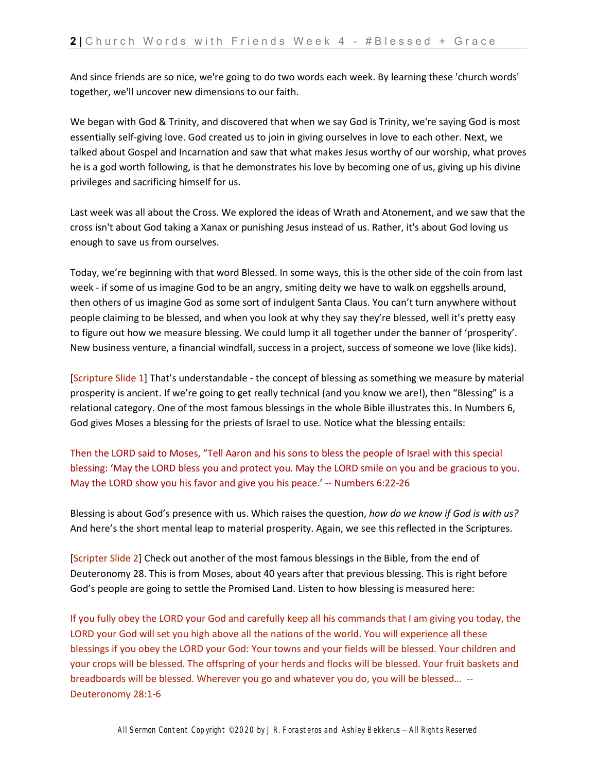And since friends are so nice, we're going to do two words each week. By learning these 'church words' together, we'll uncover new dimensions to our faith.

We began with God & Trinity, and discovered that when we say God is Trinity, we're saying God is most essentially self-giving love. God created us to join in giving ourselves in love to each other. Next, we talked about Gospel and Incarnation and saw that what makes Jesus worthy of our worship, what proves he is a god worth following, is that he demonstrates his love by becoming one of us, giving up his divine privileges and sacrificing himself for us.

Last week was all about the Cross. We explored the ideas of Wrath and Atonement, and we saw that the cross isn't about God taking a Xanax or punishing Jesus instead of us. Rather, it's about God loving us enough to save us from ourselves.

Today, we're beginning with that word Blessed. In some ways, this is the other side of the coin from last week - if some of us imagine God to be an angry, smiting deity we have to walk on eggshells around, then others of us imagine God as some sort of indulgent Santa Claus. You can't turn anywhere without people claiming to be blessed, and when you look at why they say they're blessed, well it's pretty easy to figure out how we measure blessing. We could lump it all together under the banner of 'prosperity'. New business venture, a financial windfall, success in a project, success of someone we love (like kids).

[Scripture Slide 1] That's understandable - the concept of blessing as something we measure by material prosperity is ancient. If we're going to get really technical (and you know we are!), then "Blessing" is a relational category. One of the most famous blessings in the whole Bible illustrates this. In Numbers 6, God gives Moses a blessing for the priests of Israel to use. Notice what the blessing entails:

Then the LORD said to Moses, "Tell Aaron and his sons to bless the people of Israel with this special blessing: 'May the LORD bless you and protect you. May the LORD smile on you and be gracious to you. May the LORD show you his favor and give you his peace.' -- Numbers 6:22-26

Blessing is about God's presence with us. Which raises the question, *how do we know if God is with us?* And here's the short mental leap to material prosperity. Again, we see this reflected in the Scriptures.

[Scripter Slide 2] Check out another of the most famous blessings in the Bible, from the end of Deuteronomy 28. This is from Moses, about 40 years after that previous blessing. This is right before God's people are going to settle the Promised Land. Listen to how blessing is measured here:

If you fully obey the LORD your God and carefully keep all his commands that I am giving you today, the LORD your God will set you high above all the nations of the world. You will experience all these blessings if you obey the LORD your God: Your towns and your fields will be blessed. Your children and your crops will be blessed. The offspring of your herds and flocks will be blessed. Your fruit baskets and breadboards will be blessed. Wherever you go and whatever you do, you will be blessed… -- Deuteronomy 28:1-6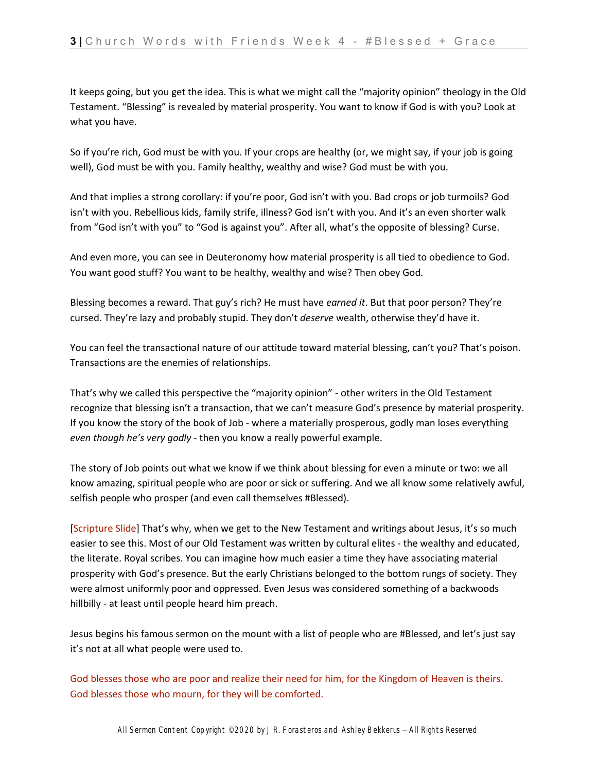It keeps going, but you get the idea. This is what we might call the "majority opinion" theology in the Old Testament. "Blessing" is revealed by material prosperity. You want to know if God is with you? Look at what you have.

So if you're rich, God must be with you. If your crops are healthy (or, we might say, if your job is going well), God must be with you. Family healthy, wealthy and wise? God must be with you.

And that implies a strong corollary: if you're poor, God isn't with you. Bad crops or job turmoils? God isn't with you. Rebellious kids, family strife, illness? God isn't with you. And it's an even shorter walk from "God isn't with you" to "God is against you". After all, what's the opposite of blessing? Curse.

And even more, you can see in Deuteronomy how material prosperity is all tied to obedience to God. You want good stuff? You want to be healthy, wealthy and wise? Then obey God.

Blessing becomes a reward. That guy's rich? He must have *earned it*. But that poor person? They're cursed. They're lazy and probably stupid. They don't *deserve* wealth, otherwise they'd have it.

You can feel the transactional nature of our attitude toward material blessing, can't you? That's poison. Transactions are the enemies of relationships.

That's why we called this perspective the "majority opinion" - other writers in the Old Testament recognize that blessing isn't a transaction, that we can't measure God's presence by material prosperity. If you know the story of the book of Job - where a materially prosperous, godly man loses everything *even though he's very godly* - then you know a really powerful example.

The story of Job points out what we know if we think about blessing for even a minute or two: we all know amazing, spiritual people who are poor or sick or suffering. And we all know some relatively awful, selfish people who prosper (and even call themselves #Blessed).

[Scripture Slide] That's why, when we get to the New Testament and writings about Jesus, it's so much easier to see this. Most of our Old Testament was written by cultural elites - the wealthy and educated, the literate. Royal scribes. You can imagine how much easier a time they have associating material prosperity with God's presence. But the early Christians belonged to the bottom rungs of society. They were almost uniformly poor and oppressed. Even Jesus was considered something of a backwoods hillbilly - at least until people heard him preach.

Jesus begins his famous sermon on the mount with a list of people who are #Blessed, and let's just say it's not at all what people were used to.

God blesses those who are poor and realize their need for him, for the Kingdom of Heaven is theirs. God blesses those who mourn, for they will be comforted.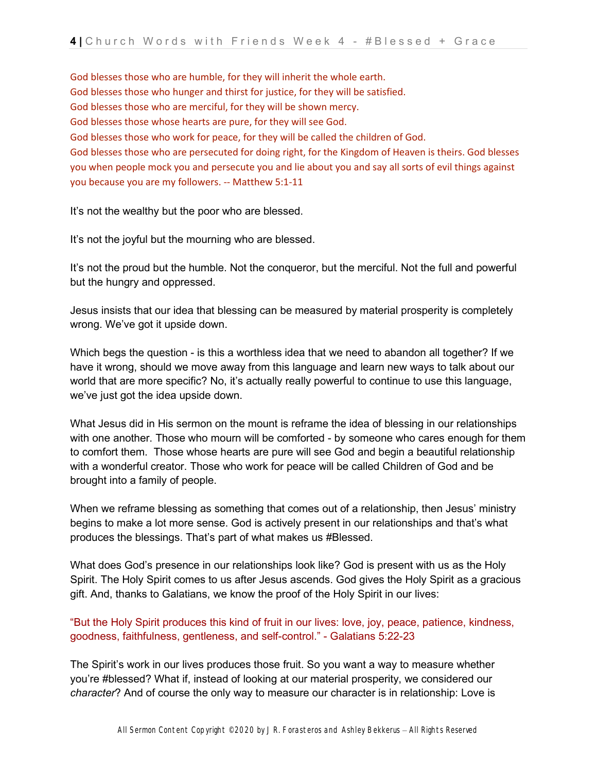God blesses those who are humble, for they will inherit the whole earth. God blesses those who hunger and thirst for justice, for they will be satisfied. God blesses those who are merciful, for they will be shown mercy. God blesses those whose hearts are pure, for they will see God. God blesses those who work for peace, for they will be called the children of God. God blesses those who are persecuted for doing right, for the Kingdom of Heaven is theirs. God blesses you when people mock you and persecute you and lie about you and say all sorts of evil things against you because you are my followers. -- Matthew 5:1-11

It's not the wealthy but the poor who are blessed.

It's not the joyful but the mourning who are blessed.

It's not the proud but the humble. Not the conqueror, but the merciful. Not the full and powerful but the hungry and oppressed.

Jesus insists that our idea that blessing can be measured by material prosperity is completely wrong. We've got it upside down.

Which begs the question - is this a worthless idea that we need to abandon all together? If we have it wrong, should we move away from this language and learn new ways to talk about our world that are more specific? No, it's actually really powerful to continue to use this language, we've just got the idea upside down.

What Jesus did in His sermon on the mount is reframe the idea of blessing in our relationships with one another. Those who mourn will be comforted - by someone who cares enough for them to comfort them. Those whose hearts are pure will see God and begin a beautiful relationship with a wonderful creator. Those who work for peace will be called Children of God and be brought into a family of people.

When we reframe blessing as something that comes out of a relationship, then Jesus' ministry begins to make a lot more sense. God is actively present in our relationships and that's what produces the blessings. That's part of what makes us #Blessed.

What does God's presence in our relationships look like? God is present with us as the Holy Spirit. The Holy Spirit comes to us after Jesus ascends. God gives the Holy Spirit as a gracious gift. And, thanks to Galatians, we know the proof of the Holy Spirit in our lives:

"But the Holy Spirit produces this kind of fruit in our lives: love, joy, peace, patience, kindness, goodness, faithfulness, gentleness, and self-control." - Galatians 5:22-23

The Spirit's work in our lives produces those fruit. So you want a way to measure whether you're #blessed? What if, instead of looking at our material prosperity, we considered our *character*? And of course the only way to measure our character is in relationship: Love is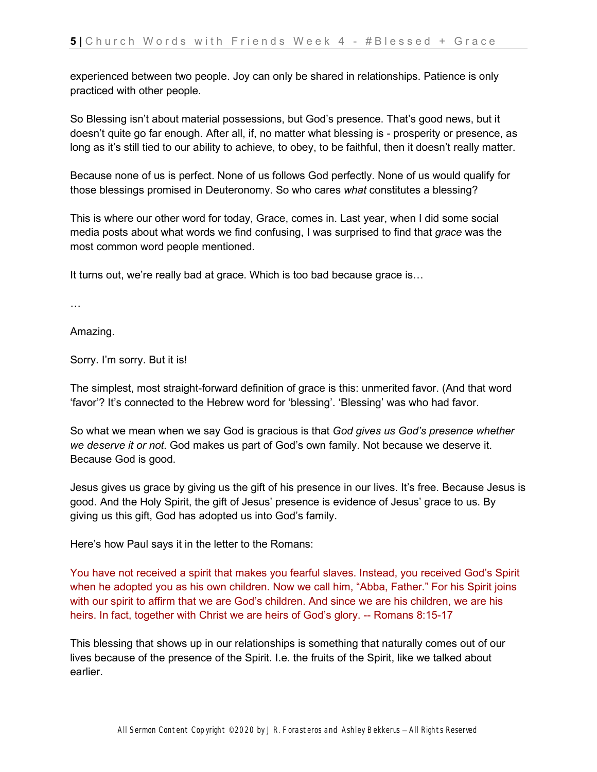experienced between two people. Joy can only be shared in relationships. Patience is only practiced with other people.

So Blessing isn't about material possessions, but God's presence. That's good news, but it doesn't quite go far enough. After all, if, no matter what blessing is - prosperity or presence, as long as it's still tied to our ability to achieve, to obey, to be faithful, then it doesn't really matter.

Because none of us is perfect. None of us follows God perfectly. None of us would qualify for those blessings promised in Deuteronomy. So who cares *what* constitutes a blessing?

This is where our other word for today, Grace, comes in. Last year, when I did some social media posts about what words we find confusing, I was surprised to find that *grace* was the most common word people mentioned.

It turns out, we're really bad at grace. Which is too bad because grace is…

…

Amazing.

Sorry. I'm sorry. But it is!

The simplest, most straight-forward definition of grace is this: unmerited favor. (And that word 'favor'? It's connected to the Hebrew word for 'blessing'. 'Blessing' was who had favor.

So what we mean when we say God is gracious is that *God gives us God's presence whether we deserve it or not*. God makes us part of God's own family. Not because we deserve it. Because God is good.

Jesus gives us grace by giving us the gift of his presence in our lives. It's free. Because Jesus is good. And the Holy Spirit, the gift of Jesus' presence is evidence of Jesus' grace to us. By giving us this gift, God has adopted us into God's family.

Here's how Paul says it in the letter to the Romans:

You have not received a spirit that makes you fearful slaves. Instead, you received God's Spirit when he adopted you as his own children. Now we call him, "Abba, Father." For his Spirit joins with our spirit to affirm that we are God's children. And since we are his children, we are his heirs. In fact, together with Christ we are heirs of God's glory. -- Romans 8:15-17

This blessing that shows up in our relationships is something that naturally comes out of our lives because of the presence of the Spirit. I.e. the fruits of the Spirit, like we talked about earlier.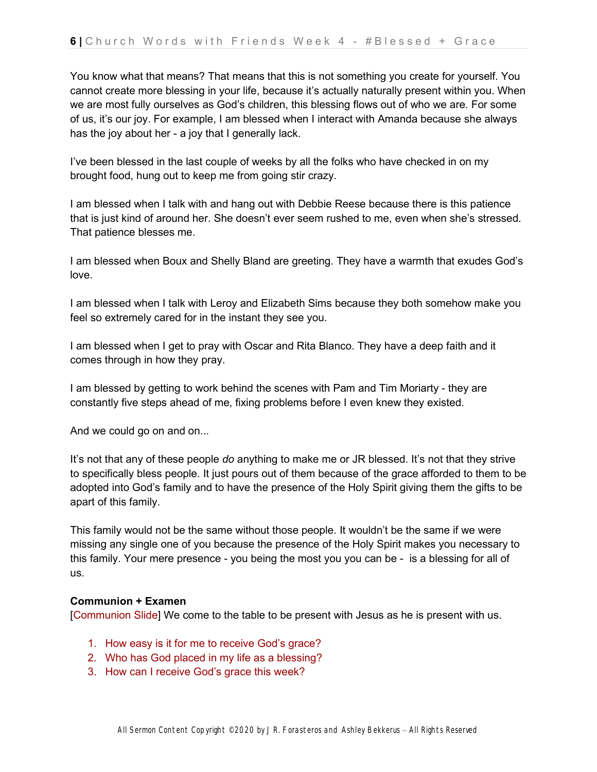You know what that means? That means that this is not something you create for yourself. You cannot create more blessing in your life, because it's actually naturally present within you. When we are most fully ourselves as God's children, this blessing flows out of who we are. For some of us, it's our joy. For example, I am blessed when I interact with Amanda because she always has the joy about her - a joy that I generally lack.

I've been blessed in the last couple of weeks by all the folks who have checked in on my brought food, hung out to keep me from going stir crazy.

I am blessed when I talk with and hang out with Debbie Reese because there is this patience that is just kind of around her. She doesn't ever seem rushed to me, even when she's stressed. That patience blesses me.

I am blessed when Boux and Shelly Bland are greeting. They have a warmth that exudes God's love.

I am blessed when I talk with Leroy and Elizabeth Sims because they both somehow make you feel so extremely cared for in the instant they see you.

I am blessed when I get to pray with Oscar and Rita Blanco. They have a deep faith and it comes through in how they pray.

I am blessed by getting to work behind the scenes with Pam and Tim Moriarty - they are constantly five steps ahead of me, fixing problems before I even knew they existed.

And we could go on and on...

It's not that any of these people *do* anything to make me or JR blessed. It's not that they strive to specifically bless people. It just pours out of them because of the grace afforded to them to be adopted into God's family and to have the presence of the Holy Spirit giving them the gifts to be apart of this family.

This family would not be the same without those people. It wouldn't be the same if we were missing any single one of you because the presence of the Holy Spirit makes you necessary to this family. Your mere presence - you being the most you you can be - is a blessing for all of us.

## **Communion + Examen**

[Communion Slide] We come to the table to be present with Jesus as he is present with us.

- 1. How easy is it for me to receive God's grace?
- 2. Who has God placed in my life as a blessing?
- 3. How can I receive God's grace this week?